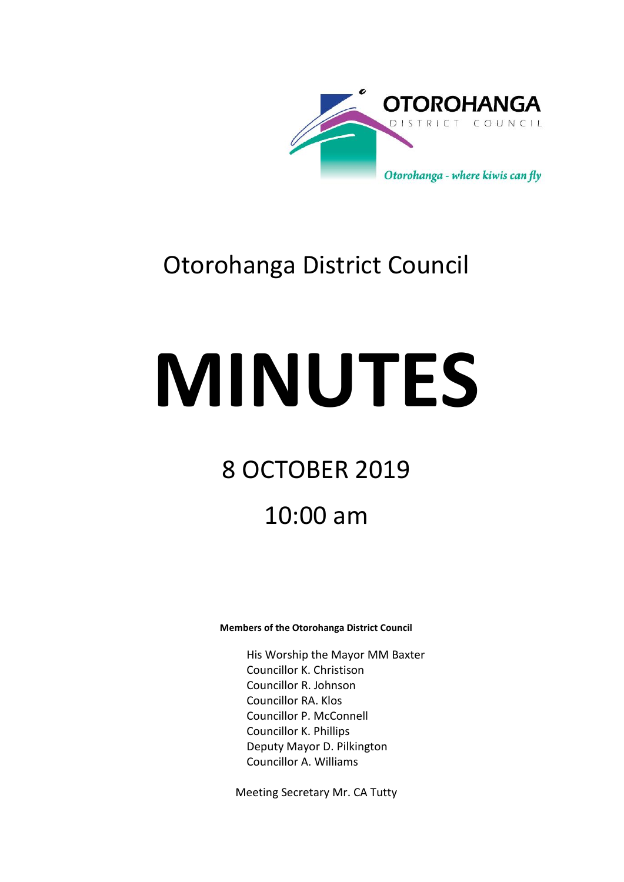

## Otorohanga District Council

# **MINUTES**

## 8 OCTOBER 2019

## 10:00 am

#### **Members of the Otorohanga District Council**

His Worship the Mayor MM Baxter Councillor K. Christison Councillor R. Johnson Councillor RA. Klos Councillor P. McConnell Councillor K. Phillips Deputy Mayor D. Pilkington Councillor A. Williams

Meeting Secretary Mr. CA Tutty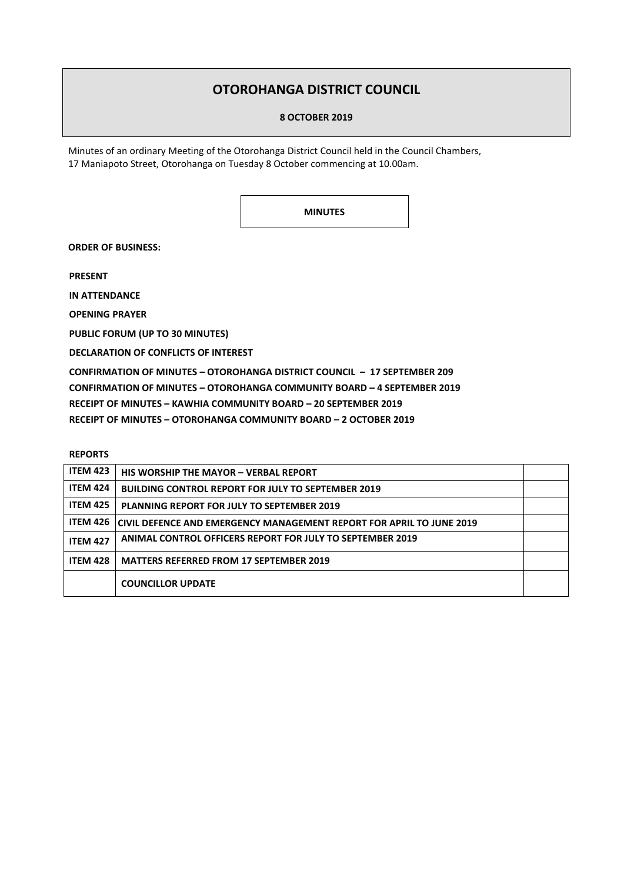### **OTOROHANGA DISTRICT COUNCIL**

#### **8 OCTOBER 2019**

Minutes of an ordinary Meeting of the Otorohanga District Council held in the Council Chambers, 17 Maniapoto Street, Otorohanga on Tuesday 8 October commencing at 10.00am.

**MINUTES**

**ORDER OF BUSINESS:**

**PRESENT**

**IN ATTENDANCE**

**OPENING PRAYER**

**PUBLIC FORUM (UP TO 30 MINUTES)**

**DECLARATION OF CONFLICTS OF INTEREST**

**CONFIRMATION OF MINUTES – OTOROHANGA DISTRICT COUNCIL – 17 SEPTEMBER 209 CONFIRMATION OF MINUTES – OTOROHANGA COMMUNITY BOARD – 4 SEPTEMBER 2019 RECEIPT OF MINUTES – KAWHIA COMMUNITY BOARD – 20 SEPTEMBER 2019 RECEIPT OF MINUTES – OTOROHANGA COMMUNITY BOARD – 2 OCTOBER 2019**

#### **REPORTS**

| <b>ITEM 423</b> | <b>HIS WORSHIP THE MAYOR - VERBAL REPORT</b>                         |  |
|-----------------|----------------------------------------------------------------------|--|
| <b>ITEM 424</b> | <b>BUILDING CONTROL REPORT FOR JULY TO SEPTEMBER 2019</b>            |  |
| <b>ITEM 425</b> | <b>PLANNING REPORT FOR JULY TO SEPTEMBER 2019</b>                    |  |
| <b>ITEM 426</b> | CIVIL DEFENCE AND EMERGENCY MANAGEMENT REPORT FOR APRIL TO JUNE 2019 |  |
| <b>ITEM 427</b> | ANIMAL CONTROL OFFICERS REPORT FOR JULY TO SEPTEMBER 2019            |  |
| <b>ITEM 428</b> | <b>MATTERS REFERRED FROM 17 SEPTEMBER 2019</b>                       |  |
|                 | <b>COUNCILLOR UPDATE</b>                                             |  |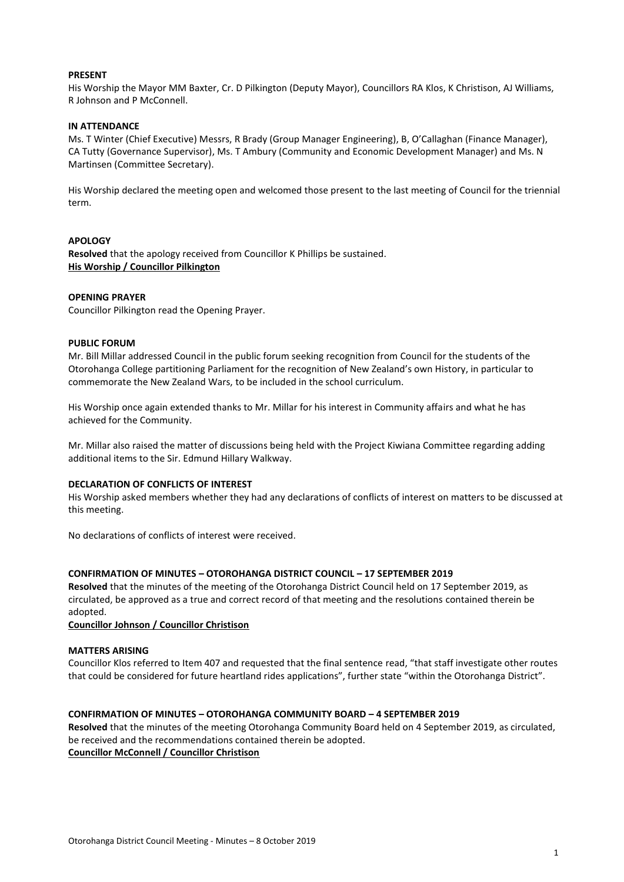#### **PRESENT**

His Worship the Mayor MM Baxter, Cr. D Pilkington (Deputy Mayor), Councillors RA Klos, K Christison, AJ Williams, R Johnson and P McConnell.

#### **IN ATTENDANCE**

Ms. T Winter (Chief Executive) Messrs, R Brady (Group Manager Engineering), B, O'Callaghan (Finance Manager), CA Tutty (Governance Supervisor), Ms. T Ambury (Community and Economic Development Manager) and Ms. N Martinsen (Committee Secretary).

His Worship declared the meeting open and welcomed those present to the last meeting of Council for the triennial term.

#### **APOLOGY**

**Resolved** that the apology received from Councillor K Phillips be sustained. **His Worship / Councillor Pilkington**

#### **OPENING PRAYER**

Councillor Pilkington read the Opening Prayer.

#### **PUBLIC FORUM**

Mr. Bill Millar addressed Council in the public forum seeking recognition from Council for the students of the Otorohanga College partitioning Parliament for the recognition of New Zealand's own History, in particular to commemorate the New Zealand Wars, to be included in the school curriculum.

His Worship once again extended thanks to Mr. Millar for his interest in Community affairs and what he has achieved for the Community.

Mr. Millar also raised the matter of discussions being held with the Project Kiwiana Committee regarding adding additional items to the Sir. Edmund Hillary Walkway.

#### **DECLARATION OF CONFLICTS OF INTEREST**

His Worship asked members whether they had any declarations of conflicts of interest on matters to be discussed at this meeting.

No declarations of conflicts of interest were received.

#### **CONFIRMATION OF MINUTES – OTOROHANGA DISTRICT COUNCIL – 17 SEPTEMBER 2019**

**Resolved** that the minutes of the meeting of the Otorohanga District Council held on 17 September 2019, as circulated, be approved as a true and correct record of that meeting and the resolutions contained therein be adopted.

**Councillor Johnson / Councillor Christison**

#### **MATTERS ARISING**

Councillor Klos referred to Item 407 and requested that the final sentence read, "that staff investigate other routes that could be considered for future heartland rides applications", further state "within the Otorohanga District".

#### **CONFIRMATION OF MINUTES – OTOROHANGA COMMUNITY BOARD – 4 SEPTEMBER 2019**

**Resolved** that the minutes of the meeting Otorohanga Community Board held on 4 September 2019, as circulated, be received and the recommendations contained therein be adopted. **Councillor McConnell / Councillor Christison**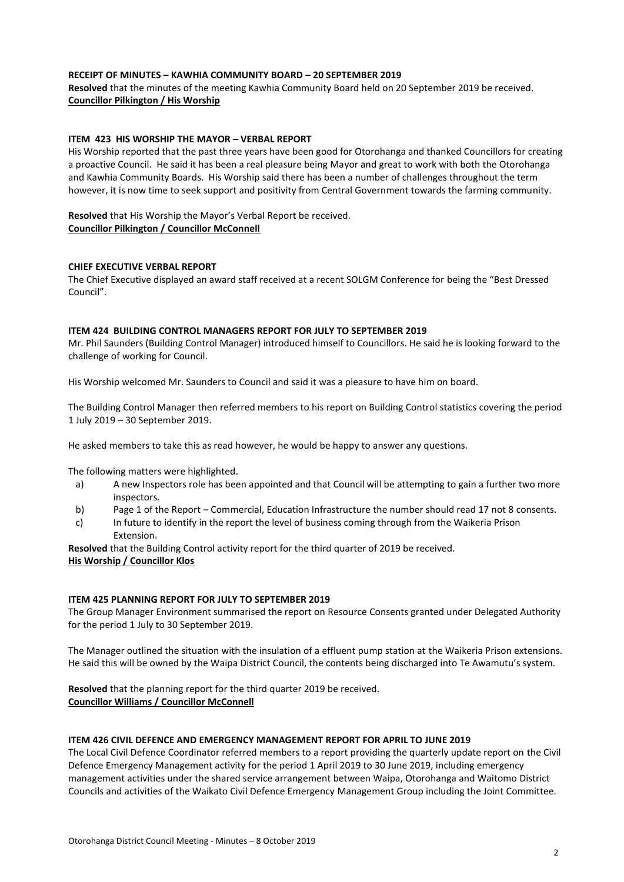#### **RECEIPT OF MINUTES – KAWHIA COMMUNITY BOARD – 20 SEPTEMBER 2019**

**Resolved** that the minutes of the meeting Kawhia Community Board held on 20 September 2019 be received. **Councillor Pilkington / His Worship**

#### **ITEM 423 HIS WORSHIP THE MAYOR – VERBAL REPORT**

His Worship reported that the past three years have been good for Otorohanga and thanked Councillors for creating a proactive Council. He said it has been a real pleasure being Mayor and great to work with both the Otorohanga and Kawhia Community Boards. His Worship said there has been a number of challenges throughout the term however, it is now time to seek support and positivity from Central Government towards the farming community.

**Resolved** that His Worship the Mayor's Verbal Report be received. **Councillor Pilkington / Councillor McConnell**

#### **CHIEF EXECUTIVE VERBAL REPORT**

The Chief Executive displayed an award staff received at a recent SOLGM Conference for being the "Best Dressed Council".

#### **ITEM 424 BUILDING CONTROL MANAGERS REPORT FOR JULY TO SEPTEMBER 2019**

Mr. Phil Saunders (Building Control Manager) introduced himself to Councillors. He said he is looking forward to the challenge of working for Council.

His Worship welcomed Mr. Saunders to Council and said it was a pleasure to have him on board.

The Building Control Manager then referred members to his report on Building Control statistics covering the period 1 July 2019 – 30 September 2019.

He asked members to take this as read however, he would be happy to answer any questions.

The following matters were highlighted.

- a) A new Inspectors role has been appointed and that Council will be attempting to gain a further two more inspectors.
- b) Page 1 of the Report Commercial, Education Infrastructure the number should read 17 not 8 consents.
- c) In future to identify in the report the level of business coming through from the Waikeria Prison Extension.

**Resolved** that the Building Control activity report for the third quarter of 2019 be received.

#### **His Worship / Councillor Klos**

#### **ITEM 425 PLANNING REPORT FOR JULY TO SEPTEMBER 2019**

The Group Manager Environment summarised the report on Resource Consents granted under Delegated Authority for the period 1 July to 30 September 2019.

The Manager outlined the situation with the insulation of a effluent pump station at the Waikeria Prison extensions. He said this will be owned by the Waipa District Council, the contents being discharged into Te Awamutu's system.

**Resolved** that the planning report for the third quarter 2019 be received. **Councillor Williams / Councillor McConnell**

#### **ITEM 426 CIVIL DEFENCE AND EMERGENCY MANAGEMENT REPORT FOR APRIL TO JUNE 2019**

The Local Civil Defence Coordinator referred members to a report providing the quarterly update report on the Civil Defence Emergency Management activity for the period 1 April 2019 to 30 June 2019, including emergency management activities under the shared service arrangement between Waipa, Otorohanga and Waitomo District Councils and activities of the Waikato Civil Defence Emergency Management Group including the Joint Committee.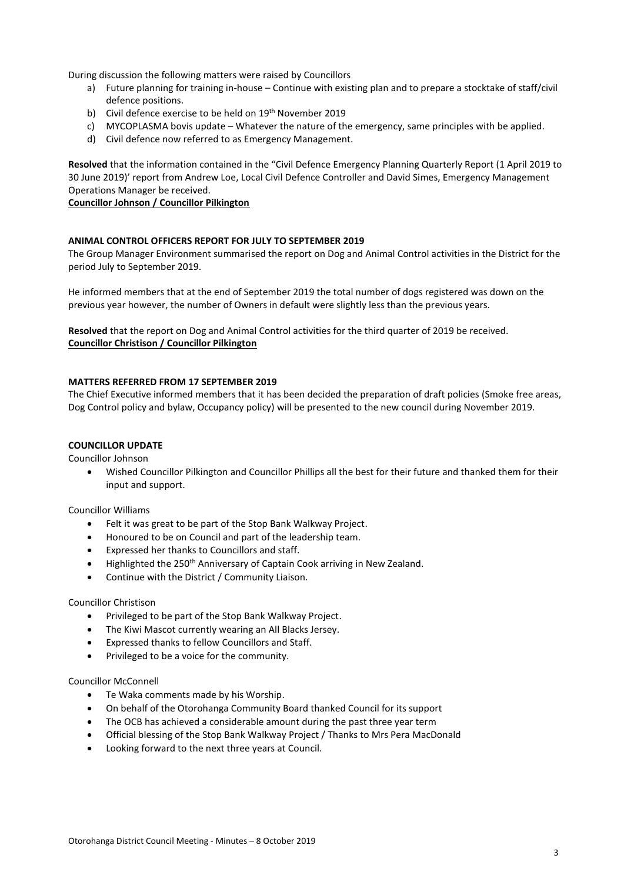During discussion the following matters were raised by Councillors

- a) Future planning for training in-house Continue with existing plan and to prepare a stocktake of staff/civil defence positions.
- b) Civil defence exercise to be held on 19<sup>th</sup> November 2019
- c) MYCOPLASMA bovis update Whatever the nature of the emergency, same principles with be applied.
- d) Civil defence now referred to as Emergency Management.

**Resolved** that the information contained in the "Civil Defence Emergency Planning Quarterly Report (1 April 2019 to 30 June 2019)' report from Andrew Loe, Local Civil Defence Controller and David Simes, Emergency Management Operations Manager be received.

#### **Councillor Johnson / Councillor Pilkington**

#### **ANIMAL CONTROL OFFICERS REPORT FOR JULY TO SEPTEMBER 2019**

The Group Manager Environment summarised the report on Dog and Animal Control activities in the District for the period July to September 2019.

He informed members that at the end of September 2019 the total number of dogs registered was down on the previous year however, the number of Owners in default were slightly less than the previous years.

**Resolved** that the report on Dog and Animal Control activities for the third quarter of 2019 be received. **Councillor Christison / Councillor Pilkington**

#### **MATTERS REFERRED FROM 17 SEPTEMBER 2019**

The Chief Executive informed members that it has been decided the preparation of draft policies (Smoke free areas, Dog Control policy and bylaw, Occupancy policy) will be presented to the new council during November 2019.

#### **COUNCILLOR UPDATE**

Councillor Johnson

 Wished Councillor Pilkington and Councillor Phillips all the best for their future and thanked them for their input and support.

#### Councillor Williams

- Felt it was great to be part of the Stop Bank Walkway Project.
- Honoured to be on Council and part of the leadership team.
- Expressed her thanks to Councillors and staff.
- Highlighted the 250<sup>th</sup> Anniversary of Captain Cook arriving in New Zealand.
- Continue with the District / Community Liaison.

#### Councillor Christison

- Privileged to be part of the Stop Bank Walkway Project.
- The Kiwi Mascot currently wearing an All Blacks Jersey.
- Expressed thanks to fellow Councillors and Staff.
- Privileged to be a voice for the community.

#### Councillor McConnell

- Te Waka comments made by his Worship.
- On behalf of the Otorohanga Community Board thanked Council for its support
- The OCB has achieved a considerable amount during the past three year term
- Official blessing of the Stop Bank Walkway Project / Thanks to Mrs Pera MacDonald
- Looking forward to the next three years at Council.